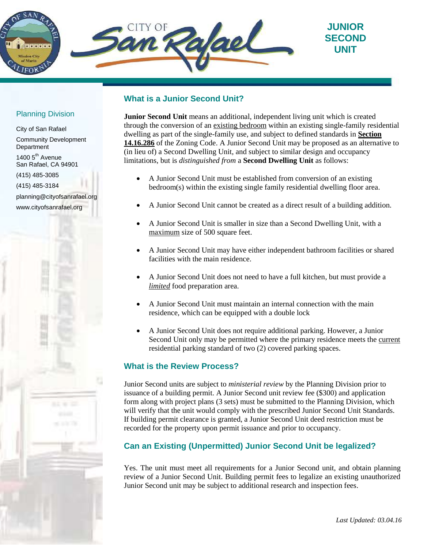

# **What is a Junior Second Unit?**

**Junior Second Unit** means an additional, independent living unit which is created through the conversion of an existing bedroom within an existing single-family residential dwelling as part of the single-family use, and subject to defined standards in **Section 14.16.286** of the Zoning Code. A Junior Second Unit may be proposed as an alternative to (in lieu of) a Second Dwelling Unit, and subject to similar design and occupancy limitations, but is *distinguished from* a **Second Dwelling Unit** as follows:

- A Junior Second Unit must be established from conversion of an existing bedroom(s) within the existing single family residential dwelling floor area.
- A Junior Second Unit cannot be created as a direct result of a building addition.
- A Junior Second Unit is smaller in size than a Second Dwelling Unit, with a maximum size of 500 square feet.
- A Junior Second Unit may have either independent bathroom facilities or shared facilities with the main residence.
- A Junior Second Unit does not need to have a full kitchen, but must provide a *limited* food preparation area.
- A Junior Second Unit must maintain an internal connection with the main residence, which can be equipped with a double lock
- A Junior Second Unit does not require additional parking. However, a Junior Second Unit only may be permitted where the primary residence meets the current residential parking standard of two (2) covered parking spaces.

## **What is the Review Process?**

Junior Second units are subject to *ministerial review* by the Planning Division prior to issuance of a building permit. A Junior Second unit review fee (\$300) and application form along with project plans (3 sets) must be submitted to the Planning Division, which will verify that the unit would comply with the prescribed Junior Second Unit Standards. If building permit clearance is granted, a Junior Second Unit deed restriction must be recorded for the property upon permit issuance and prior to occupancy.

## **Can an Existing (Unpermitted) Junior Second Unit be legalized?**

Yes. The unit must meet all requirements for a Junior Second unit, and obtain planning review of a Junior Second Unit. Building permit fees to legalize an existing unauthorized Junior Second unit may be subject to additional research and inspection fees.

### Planning Division

City of San Rafael Community Development Department 1400 5<sup>th</sup> Avenue San Rafael, CA 94901 (415) 485-3085 (415) 485-3184 planning@cityofsanrafael.org www.cityofsanrafael.org

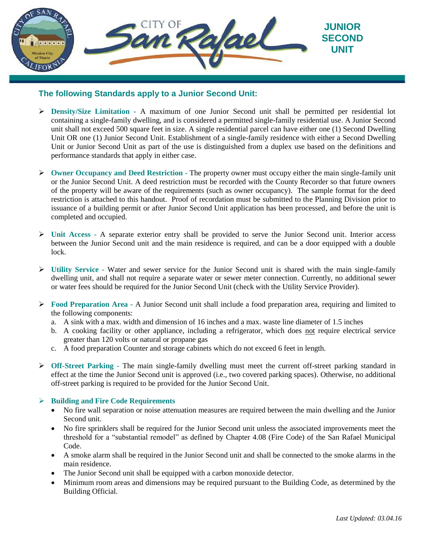

# **The following Standards apply to a Junior Second Unit:**

- **Density/Size Limitation -** A maximum of one Junior Second unit shall be permitted per residential lot containing a single-family dwelling, and is considered a permitted single-family residential use. A Junior Second unit shall not exceed 500 square feet in size. A single residential parcel can have either one (1) Second Dwelling Unit OR one (1) Junior Second Unit. Establishment of a single-family residence with either a Second Dwelling Unit or Junior Second Unit as part of the use is distinguished from a duplex use based on the definitions and performance standards that apply in either case.
- **Owner Occupancy and Deed Restriction -** The property owner must occupy either the main single-family unit or the Junior Second Unit. A deed restriction must be recorded with the County Recorder so that future owners of the property will be aware of the requirements (such as owner occupancy). The sample format for the deed restriction is attached to this handout. Proof of recordation must be submitted to the Planning Division prior to issuance of a building permit or after Junior Second Unit application has been processed, and before the unit is completed and occupied.
- **Unit Access -** A separate exterior entry shall be provided to serve the Junior Second unit. Interior access between the Junior Second unit and the main residence is required, and can be a door equipped with a double lock.
- **Utility Service -** Water and sewer service for the Junior Second unit is shared with the main single-family dwelling unit, and shall not require a separate water or sewer meter connection. Currently, no additional sewer or water fees should be required for the Junior Second Unit (check with the Utility Service Provider).
- **Food Preparation Area -** A Junior Second unit shall include a food preparation area, requiring and limited to the following components:
	- a. A sink with a max. width and dimension of 16 inches and a max. waste line diameter of 1.5 inches
	- b. A cooking facility or other appliance, including a refrigerator, which does not require electrical service greater than 120 volts or natural or propane gas
	- c. A food preparation Counter and storage cabinets which do not exceed 6 feet in length.
- **Off-Street Parking -** The main single-family dwelling must meet the current off-street parking standard in effect at the time the Junior Second unit is approved (i.e., two covered parking spaces). Otherwise, no additional off-street parking is required to be provided for the Junior Second Unit.

### **Building and Fire Code Requirements**

- No fire wall separation or noise attenuation measures are required between the main dwelling and the Junior Second unit.
- No fire sprinklers shall be required for the Junior Second unit unless the associated improvements meet the threshold for a "substantial remodel" as defined by Chapter 4.08 (Fire Code) of the San Rafael Municipal Code.
- A smoke alarm shall be required in the Junior Second unit and shall be connected to the smoke alarms in the main residence.
- The Junior Second unit shall be equipped with a carbon monoxide detector.
- Minimum room areas and dimensions may be required pursuant to the Building Code, as determined by the Building Official.